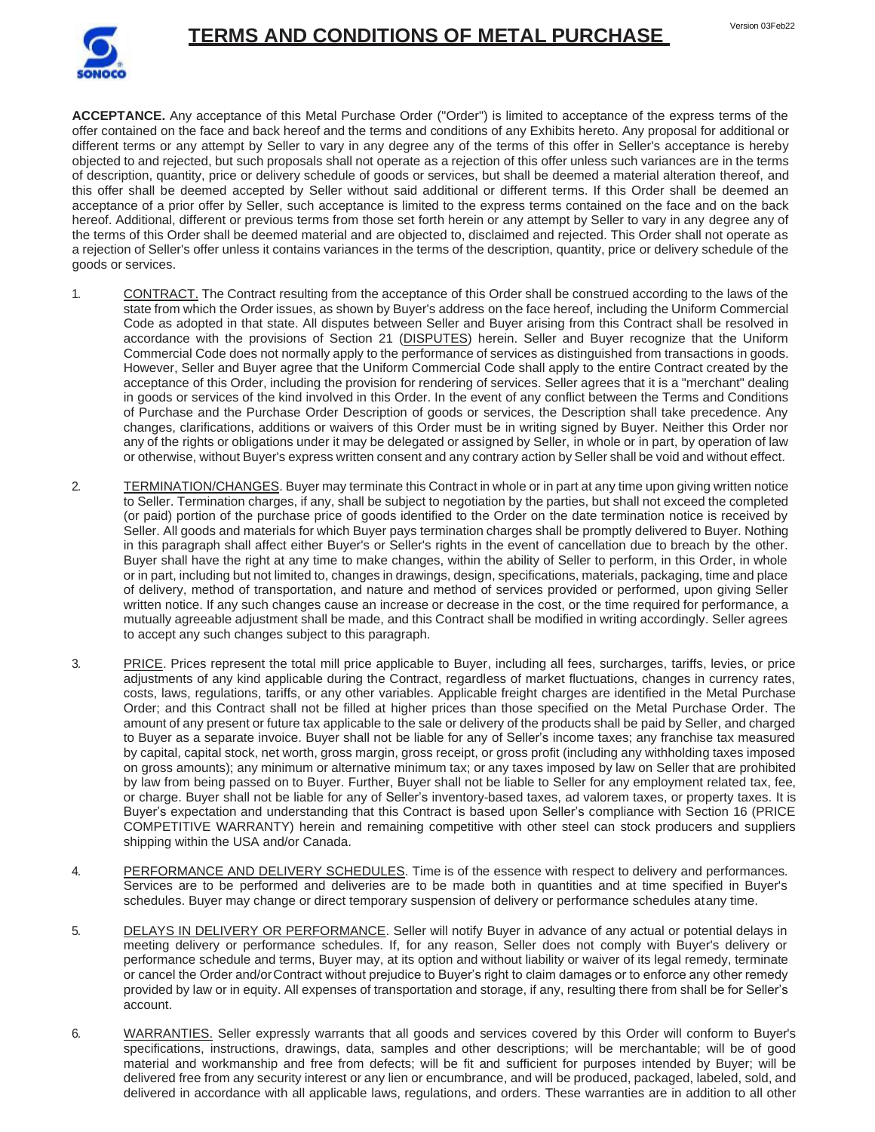



**ACCEPTANCE.** Any acceptance of this Metal Purchase Order ("Order") is limited to acceptance of the express terms of the offer contained on the face and back hereof and the terms and conditions of any Exhibits hereto. Any proposal for additional or different terms or any attempt by Seller to vary in any degree any of the terms of this offer in Seller's acceptance is hereby objected to and rejected, but such proposals shall not operate as a rejection of this offer unless such variances are in the terms of description, quantity, price or delivery schedule of goods or services, but shall be deemed a material alteration thereof, and this offer shall be deemed accepted by Seller without said additional or different terms. If this Order shall be deemed an acceptance of a prior offer by Seller, such acceptance is limited to the express terms contained on the face and on the back hereof. Additional, different or previous terms from those set forth herein or any attempt by Seller to vary in any degree any of the terms of this Order shall be deemed material and are objected to, disclaimed and rejected. This Order shall not operate as a rejection of Seller's offer unless it contains variances in the terms of the description, quantity, price or delivery schedule of the goods or services.

- 1. CONTRACT. The Contract resulting from the acceptance of this Order shall be construed according to the laws of the state from which the Order issues, as shown by Buyer's address on the face hereof, including the Uniform Commercial Code as adopted in that state. All disputes between Seller and Buyer arising from this Contract shall be resolved in accordance with the provisions of Section 21 (DISPUTES) herein. Seller and Buyer recognize that the Uniform Commercial Code does not normally apply to the performance of services as distinguished from transactions in goods. However, Seller and Buyer agree that the Uniform Commercial Code shall apply to the entire Contract created by the acceptance of this Order, including the provision for rendering of services. Seller agrees that it is a "merchant" dealing in goods or services of the kind involved in this Order. In the event of any conflict between the Terms and Conditions of Purchase and the Purchase Order Description of goods or services, the Description shall take precedence. Any changes, clarifications, additions or waivers of this Order must be in writing signed by Buyer. Neither this Order nor any of the rights or obligations under it may be delegated or assigned by Seller, in whole or in part, by operation of law or otherwise, without Buyer's express written consent and any contrary action by Seller shall be void and without effect.
- 2. TERMINATION/CHANGES. Buyer may terminate this Contract in whole or in part at any time upon giving written notice to Seller. Termination charges, if any, shall be subject to negotiation by the parties, but shall not exceed the completed (or paid) portion of the purchase price of goods identified to the Order on the date termination notice is received by Seller. All goods and materials for which Buyer pays termination charges shall be promptly delivered to Buyer. Nothing in this paragraph shall affect either Buyer's or Seller's rights in the event of cancellation due to breach by the other. Buyer shall have the right at any time to make changes, within the ability of Seller to perform, in this Order, in whole or in part, including but not limited to, changes in drawings, design, specifications, materials, packaging, time and place of delivery, method of transportation, and nature and method of services provided or performed, upon giving Seller written notice. If any such changes cause an increase or decrease in the cost, or the time required for performance, a mutually agreeable adjustment shall be made, and this Contract shall be modified in writing accordingly. Seller agrees to accept any such changes subject to this paragraph.
- 3. PRICE. Prices represent the total mill price applicable to Buyer, including all fees, surcharges, tariffs, levies, or price adjustments of any kind applicable during the Contract, regardless of market fluctuations, changes in currency rates, costs, laws, regulations, tariffs, or any other variables. Applicable freight charges are identified in the Metal Purchase Order; and this Contract shall not be filled at higher prices than those specified on the Metal Purchase Order. The amount of any present or future tax applicable to the sale or delivery of the products shall be paid by Seller, and charged to Buyer as a separate invoice. Buyer shall not be liable for any of Seller's income taxes; any franchise tax measured by capital, capital stock, net worth, gross margin, gross receipt, or gross profit (including any withholding taxes imposed on gross amounts); any minimum or alternative minimum tax; or any taxes imposed by law on Seller that are prohibited by law from being passed on to Buyer. Further, Buyer shall not be liable to Seller for any employment related tax, fee, or charge. Buyer shall not be liable for any of Seller's inventory-based taxes, ad valorem taxes, or property taxes. It is Buyer's expectation and understanding that this Contract is based upon Seller's compliance with Section 16 (PRICE COMPETITIVE WARRANTY) herein and remaining competitive with other steel can stock producers and suppliers shipping within the USA and/or Canada.
- 4. PERFORMANCE AND DELIVERY SCHEDULES. Time is of the essence with respect to delivery and performances. Services are to be performed and deliveries are to be made both in quantities and at time specified in Buyer's schedules. Buyer may change or direct temporary suspension of delivery or performance schedules atany time.
- 5. DELAYS IN DELIVERY OR PERFORMANCE. Seller will notify Buyer in advance of any actual or potential delays in meeting delivery or performance schedules. If, for any reason, Seller does not comply with Buyer's delivery or performance schedule and terms, Buyer may, at its option and without liability or waiver of its legal remedy, terminate or cancel the Order and/orContract without prejudice to Buyer's right to claim damages or to enforce any other remedy provided by law or in equity. All expenses of transportation and storage, if any, resulting there from shall be for Seller's account.
- 6. WARRANTIES. Seller expressly warrants that all goods and services covered by this Order will conform to Buyer's specifications, instructions, drawings, data, samples and other descriptions; will be merchantable; will be of good material and workmanship and free from defects; will be fit and sufficient for purposes intended by Buyer; will be delivered free from any security interest or any lien or encumbrance, and will be produced, packaged, labeled, sold, and delivered in accordance with all applicable laws, regulations, and orders. These warranties are in addition to all other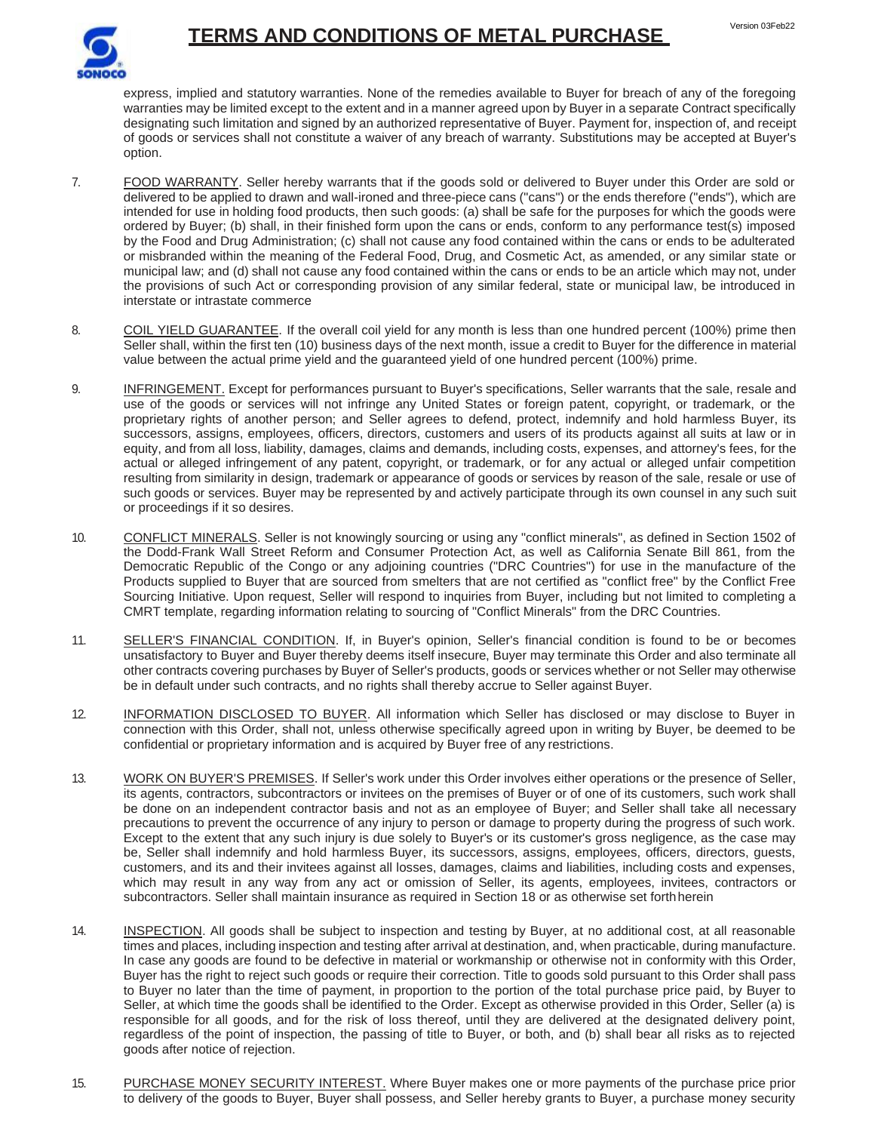

express, implied and statutory warranties. None of the remedies available to Buyer for breach of any of the foregoing warranties may be limited except to the extent and in a manner agreed upon by Buyer in a separate Contract specifically designating such limitation and signed by an authorized representative of Buyer. Payment for, inspection of, and receipt of goods or services shall not constitute a waiver of any breach of warranty. Substitutions may be accepted at Buyer's option.

- 7. FOOD WARRANTY. Seller hereby warrants that if the goods sold or delivered to Buyer under this Order are sold or delivered to be applied to drawn and wall-ironed and three-piece cans ("cans") or the ends therefore ("ends"), which are intended for use in holding food products, then such goods: (a) shall be safe for the purposes for which the goods were ordered by Buyer; (b) shall, in their finished form upon the cans or ends, conform to any performance test(s) imposed by the Food and Drug Administration; (c) shall not cause any food contained within the cans or ends to be adulterated or misbranded within the meaning of the Federal Food, Drug, and Cosmetic Act, as amended, or any similar state or municipal law; and (d) shall not cause any food contained within the cans or ends to be an article which may not, under the provisions of such Act or corresponding provision of any similar federal, state or municipal law, be introduced in interstate or intrastate commerce
- 8. COIL YIELD GUARANTEE. If the overall coil yield for any month is less than one hundred percent (100%) prime then Seller shall, within the first ten (10) business days of the next month, issue a credit to Buyer for the difference in material value between the actual prime yield and the guaranteed yield of one hundred percent (100%) prime.
- 9. INFRINGEMENT. Except for performances pursuant to Buyer's specifications, Seller warrants that the sale, resale and use of the goods or services will not infringe any United States or foreign patent, copyright, or trademark, or the proprietary rights of another person; and Seller agrees to defend, protect, indemnify and hold harmless Buyer, its successors, assigns, employees, officers, directors, customers and users of its products against all suits at law or in equity, and from all loss, liability, damages, claims and demands, including costs, expenses, and attorney's fees, for the actual or alleged infringement of any patent, copyright, or trademark, or for any actual or alleged unfair competition resulting from similarity in design, trademark or appearance of goods or services by reason of the sale, resale or use of such goods or services. Buyer may be represented by and actively participate through its own counsel in any such suit or proceedings if it so desires.
- 10. CONFLICT MINERALS. Seller is not knowingly sourcing or using any "conflict minerals", as defined in Section 1502 of the Dodd-Frank Wall Street Reform and Consumer Protection Act, as well as California Senate Bill 861, from the Democratic Republic of the Congo or any adjoining countries ("DRC Countries") for use in the manufacture of the Products supplied to Buyer that are sourced from smelters that are not certified as "conflict free" by the Conflict Free Sourcing Initiative. Upon request, Seller will respond to inquiries from Buyer, including but not limited to completing a CMRT template, regarding information relating to sourcing of "Conflict Minerals" from the DRC Countries.
- 11. SELLER'S FINANCIAL CONDITION. If, in Buyer's opinion, Seller's financial condition is found to be or becomes unsatisfactory to Buyer and Buyer thereby deems itself insecure, Buyer may terminate this Order and also terminate all other contracts covering purchases by Buyer of Seller's products, goods or services whether or not Seller may otherwise be in default under such contracts, and no rights shall thereby accrue to Seller against Buyer.
- 12. INFORMATION DISCLOSED TO BUYER. All information which Seller has disclosed or may disclose to Buyer in connection with this Order, shall not, unless otherwise specifically agreed upon in writing by Buyer, be deemed to be confidential or proprietary information and is acquired by Buyer free of any restrictions.
- 13. WORK ON BUYER'S PREMISES. If Seller's work under this Order involves either operations or the presence of Seller, its agents, contractors, subcontractors or invitees on the premises of Buyer or of one of its customers, such work shall be done on an independent contractor basis and not as an employee of Buyer; and Seller shall take all necessary precautions to prevent the occurrence of any injury to person or damage to property during the progress of such work. Except to the extent that any such injury is due solely to Buyer's or its customer's gross negligence, as the case may be, Seller shall indemnify and hold harmless Buyer, its successors, assigns, employees, officers, directors, guests, customers, and its and their invitees against all losses, damages, claims and liabilities, including costs and expenses, which may result in any way from any act or omission of Seller, its agents, employees, invitees, contractors or subcontractors. Seller shall maintain insurance as required in Section 18 or as otherwise set forthherein
- 14. INSPECTION. All goods shall be subject to inspection and testing by Buyer, at no additional cost, at all reasonable times and places, including inspection and testing after arrival at destination, and, when practicable, during manufacture. In case any goods are found to be defective in material or workmanship or otherwise not in conformity with this Order, Buyer has the right to reject such goods or require their correction. Title to goods sold pursuant to this Order shall pass to Buyer no later than the time of payment, in proportion to the portion of the total purchase price paid, by Buyer to Seller, at which time the goods shall be identified to the Order. Except as otherwise provided in this Order, Seller (a) is responsible for all goods, and for the risk of loss thereof, until they are delivered at the designated delivery point, regardless of the point of inspection, the passing of title to Buyer, or both, and (b) shall bear all risks as to rejected goods after notice of rejection.
- 15. PURCHASE MONEY SECURITY INTEREST. Where Buyer makes one or more payments of the purchase price prior to delivery of the goods to Buyer, Buyer shall possess, and Seller hereby grants to Buyer, a purchase money security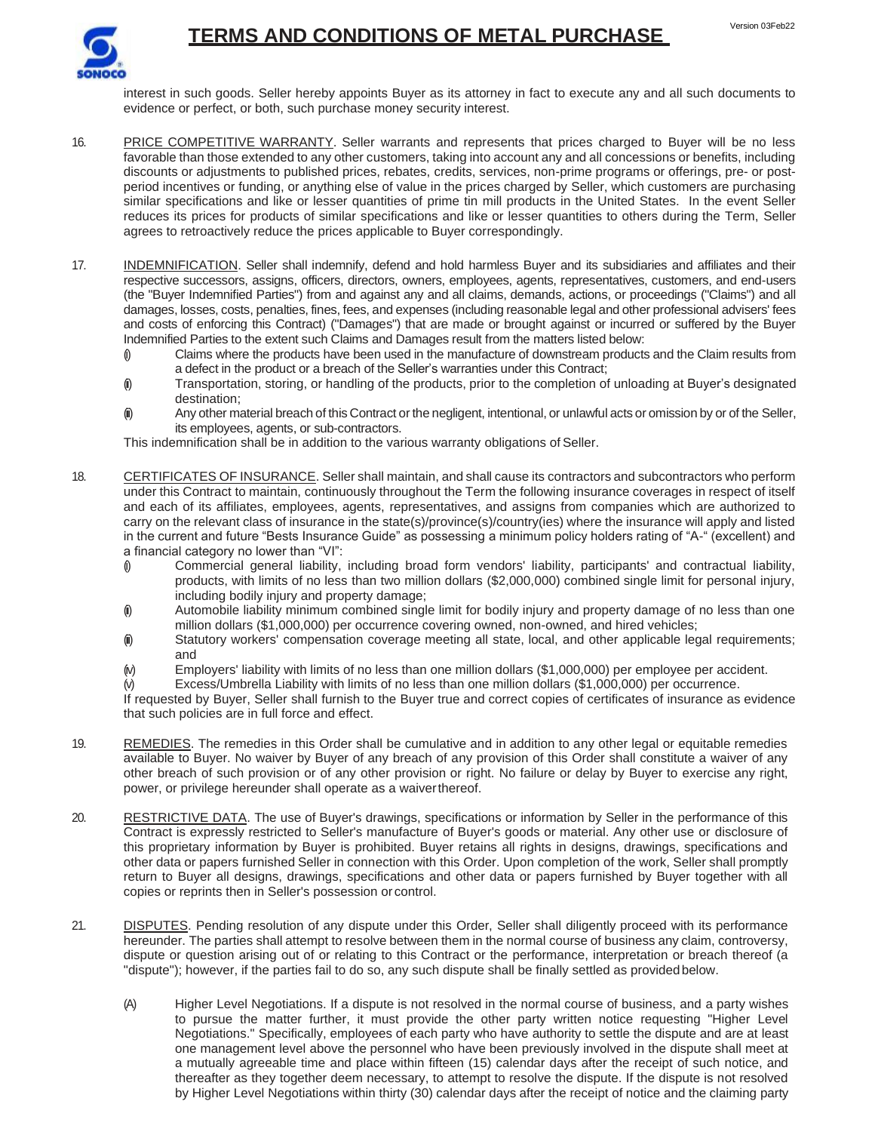

interest in such goods. Seller hereby appoints Buyer as its attorney in fact to execute any and all such documents to evidence or perfect, or both, such purchase money security interest.

- 16. PRICE COMPETITIVE WARRANTY. Seller warrants and represents that prices charged to Buyer will be no less favorable than those extended to any other customers, taking into account any and all concessions or benefits, including discounts or adjustments to published prices, rebates, credits, services, non-prime programs or offerings, pre- or postperiod incentives or funding, or anything else of value in the prices charged by Seller, which customers are purchasing similar specifications and like or lesser quantities of prime tin mill products in the United States. In the event Seller reduces its prices for products of similar specifications and like or lesser quantities to others during the Term, Seller agrees to retroactively reduce the prices applicable to Buyer correspondingly.
- 17. INDEMNIFICATION. Seller shall indemnify, defend and hold harmless Buyer and its subsidiaries and affiliates and their respective successors, assigns, officers, directors, owners, employees, agents, representatives, customers, and end-users (the "Buyer Indemnified Parties") from and against any and all claims, demands, actions, or proceedings ("Claims") and all damages, losses, costs, penalties, fines, fees, and expenses (including reasonable legal and other professional advisers' fees and costs of enforcing this Contract) ("Damages") that are made or brought against or incurred or suffered by the Buyer Indemnified Parties to the extent such Claims and Damages result from the matters listed below:
	- (i) Claims where the products have been used in the manufacture of downstream products and the Claim results from a defect in the product or a breach of the Seller's warranties under this Contract;
	- (ii) Transportation, storing, or handling of the products, prior to the completion of unloading at Buyer's designated destination;
	- (iii) Any other material breach of this Contract or the negligent, intentional, or unlawful acts or omission by or of the Seller, its employees, agents, or sub-contractors.

This indemnification shall be in addition to the various warranty obligations of Seller.

- 18. CERTIFICATES OF INSURANCE. Seller shall maintain, and shall cause its contractors and subcontractors who perform under this Contract to maintain, continuously throughout the Term the following insurance coverages in respect of itself and each of its affiliates, employees, agents, representatives, and assigns from companies which are authorized to carry on the relevant class of insurance in the state(s)/province(s)/country(ies) where the insurance will apply and listed in the current and future "Bests Insurance Guide" as possessing a minimum policy holders rating of "A-" (excellent) and a financial category no lower than "VI":
	- (i) Commercial general liability, including broad form vendors' liability, participants' and contractual liability, products, with limits of no less than two million dollars (\$2,000,000) combined single limit for personal injury, including bodily injury and property damage;
	- (i) Automobile liability minimum combined single limit for bodily injury and property damage of no less than one million dollars (\$1,000,000) per occurrence covering owned, non-owned, and hired vehicles;
	- (ii) Statutory workers' compensation coverage meeting all state, local, and other applicable legal requirements; and
	- $(w)$  Employers' liability with limits of no less than one million dollars (\$1,000,000) per employee per accident.
	- Excess/Umbrella Liability with limits of no less than one million dollars (\$1,000,000) per occurrence.

If requested by Buyer, Seller shall furnish to the Buyer true and correct copies of certificates of insurance as evidence that such policies are in full force and effect.

- 19. REMEDIES. The remedies in this Order shall be cumulative and in addition to any other legal or equitable remedies available to Buyer. No waiver by Buyer of any breach of any provision of this Order shall constitute a waiver of any other breach of such provision or of any other provision or right. No failure or delay by Buyer to exercise any right, power, or privilege hereunder shall operate as a waiverthereof.
- 20. RESTRICTIVE DATA. The use of Buyer's drawings, specifications or information by Seller in the performance of this Contract is expressly restricted to Seller's manufacture of Buyer's goods or material. Any other use or disclosure of this proprietary information by Buyer is prohibited. Buyer retains all rights in designs, drawings, specifications and other data or papers furnished Seller in connection with this Order. Upon completion of the work, Seller shall promptly return to Buyer all designs, drawings, specifications and other data or papers furnished by Buyer together with all copies or reprints then in Seller's possession or control.
- 21. DISPUTES. Pending resolution of any dispute under this Order, Seller shall diligently proceed with its performance hereunder. The parties shall attempt to resolve between them in the normal course of business any claim, controversy, dispute or question arising out of or relating to this Contract or the performance, interpretation or breach thereof (a "dispute"); however, if the parties fail to do so, any such dispute shall be finally settled as providedbelow.
	- (A) Higher Level Negotiations. If a dispute is not resolved in the normal course of business, and a party wishes to pursue the matter further, it must provide the other party written notice requesting "Higher Level Negotiations." Specifically, employees of each party who have authority to settle the dispute and are at least one management level above the personnel who have been previously involved in the dispute shall meet at a mutually agreeable time and place within fifteen (15) calendar days after the receipt of such notice, and thereafter as they together deem necessary, to attempt to resolve the dispute. If the dispute is not resolved by Higher Level Negotiations within thirty (30) calendar days after the receipt of notice and the claiming party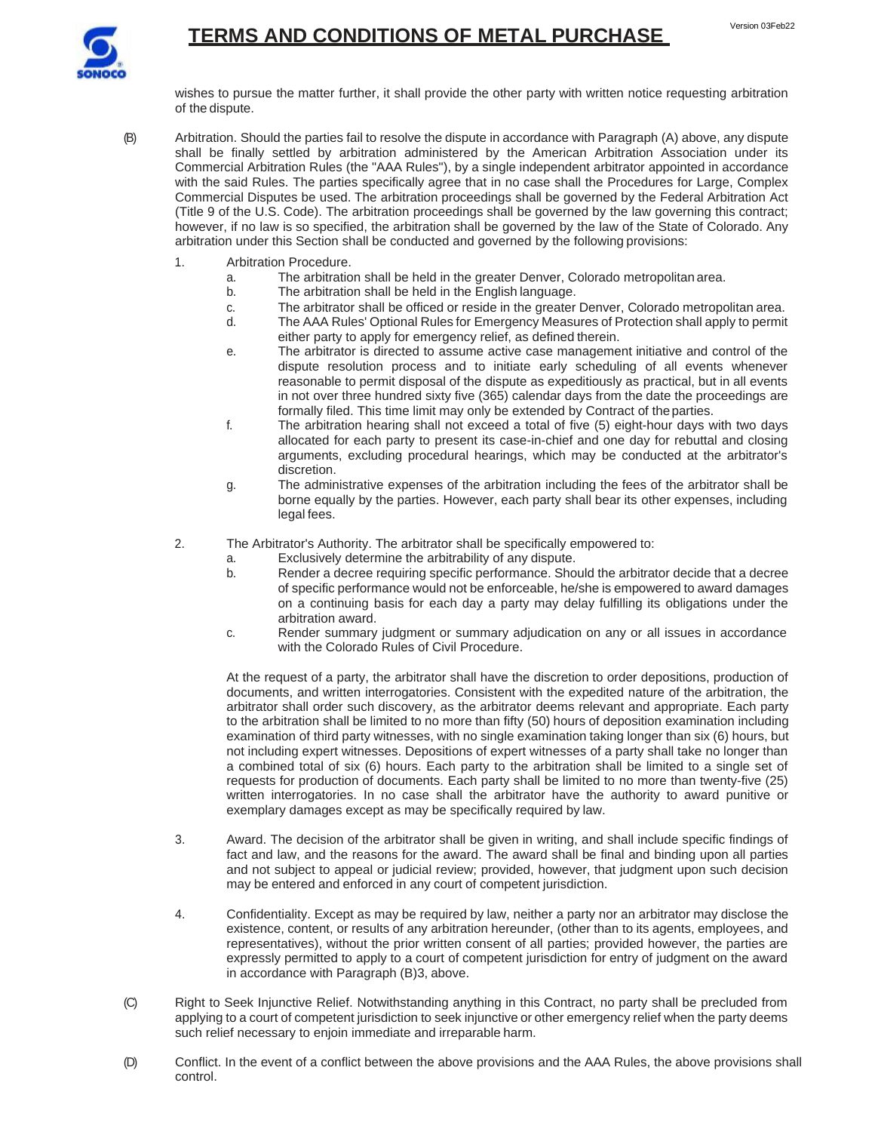

wishes to pursue the matter further, it shall provide the other party with written notice requesting arbitration of the dispute.

- (B) Arbitration. Should the parties fail to resolve the dispute in accordance with Paragraph (A) above, any dispute shall be finally settled by arbitration administered by the American Arbitration Association under its Commercial Arbitration Rules (the "AAA Rules"), by a single independent arbitrator appointed in accordance with the said Rules. The parties specifically agree that in no case shall the Procedures for Large, Complex Commercial Disputes be used. The arbitration proceedings shall be governed by the Federal Arbitration Act (Title 9 of the U.S. Code). The arbitration proceedings shall be governed by the law governing this contract; however, if no law is so specified, the arbitration shall be governed by the law of the State of Colorado. Any arbitration under this Section shall be conducted and governed by the following provisions:
	- 1. Arbitration Procedure.
		- a. The arbitration shall be held in the greater Denver, Colorado metropolitan area.<br>b. The arbitration shall be held in the English language.
		- The arbitration shall be held in the English language.
		- c. The arbitrator shall be officed or reside in the greater Denver, Colorado metropolitan area.<br>d. The AAA Rules' Optional Rules for Emergency Measures of Protection shall apply to permit
		- The AAA Rules' Optional Rules for Emergency Measures of Protection shall apply to permit either party to apply for emergency relief, as defined therein.
		- e. The arbitrator is directed to assume active case management initiative and control of the dispute resolution process and to initiate early scheduling of all events whenever reasonable to permit disposal of the dispute as expeditiously as practical, but in all events in not over three hundred sixty five (365) calendar days from the date the proceedings are formally filed. This time limit may only be extended by Contract of theparties.
		- f. The arbitration hearing shall not exceed a total of five (5) eight-hour days with two days allocated for each party to present its case-in-chief and one day for rebuttal and closing arguments, excluding procedural hearings, which may be conducted at the arbitrator's discretion.
		- g. The administrative expenses of the arbitration including the fees of the arbitrator shall be borne equally by the parties. However, each party shall bear its other expenses, including legal fees.
	- 2. The Arbitrator's Authority. The arbitrator shall be specifically empowered to:
		- a. Exclusively determine the arbitrability of any dispute.
		- b. Render a decree requiring specific performance. Should the arbitrator decide that a decree of specific performance would not be enforceable, he/she is empowered to award damages on a continuing basis for each day a party may delay fulfilling its obligations under the arbitration award.
		- c. Render summary judgment or summary adjudication on any or all issues in accordance with the Colorado Rules of Civil Procedure.

At the request of a party, the arbitrator shall have the discretion to order depositions, production of documents, and written interrogatories. Consistent with the expedited nature of the arbitration, the arbitrator shall order such discovery, as the arbitrator deems relevant and appropriate. Each party to the arbitration shall be limited to no more than fifty (50) hours of deposition examination including examination of third party witnesses, with no single examination taking longer than six (6) hours, but not including expert witnesses. Depositions of expert witnesses of a party shall take no longer than a combined total of six (6) hours. Each party to the arbitration shall be limited to a single set of requests for production of documents. Each party shall be limited to no more than twenty-five (25) written interrogatories. In no case shall the arbitrator have the authority to award punitive or exemplary damages except as may be specifically required by law.

- 3. Award. The decision of the arbitrator shall be given in writing, and shall include specific findings of fact and law, and the reasons for the award. The award shall be final and binding upon all parties and not subject to appeal or judicial review; provided, however, that judgment upon such decision may be entered and enforced in any court of competent jurisdiction.
- 4. Confidentiality. Except as may be required by law, neither a party nor an arbitrator may disclose the existence, content, or results of any arbitration hereunder, (other than to its agents, employees, and representatives), without the prior written consent of all parties; provided however, the parties are expressly permitted to apply to a court of competent jurisdiction for entry of judgment on the award in accordance with Paragraph (B)3, above.
- (C) Right to Seek Injunctive Relief. Notwithstanding anything in this Contract, no party shall be precluded from applying to a court of competent jurisdiction to seek injunctive or other emergency relief when the party deems such relief necessary to enjoin immediate and irreparable harm.
- (D) Conflict. In the event of a conflict between the above provisions and the AAA Rules, the above provisions shall control.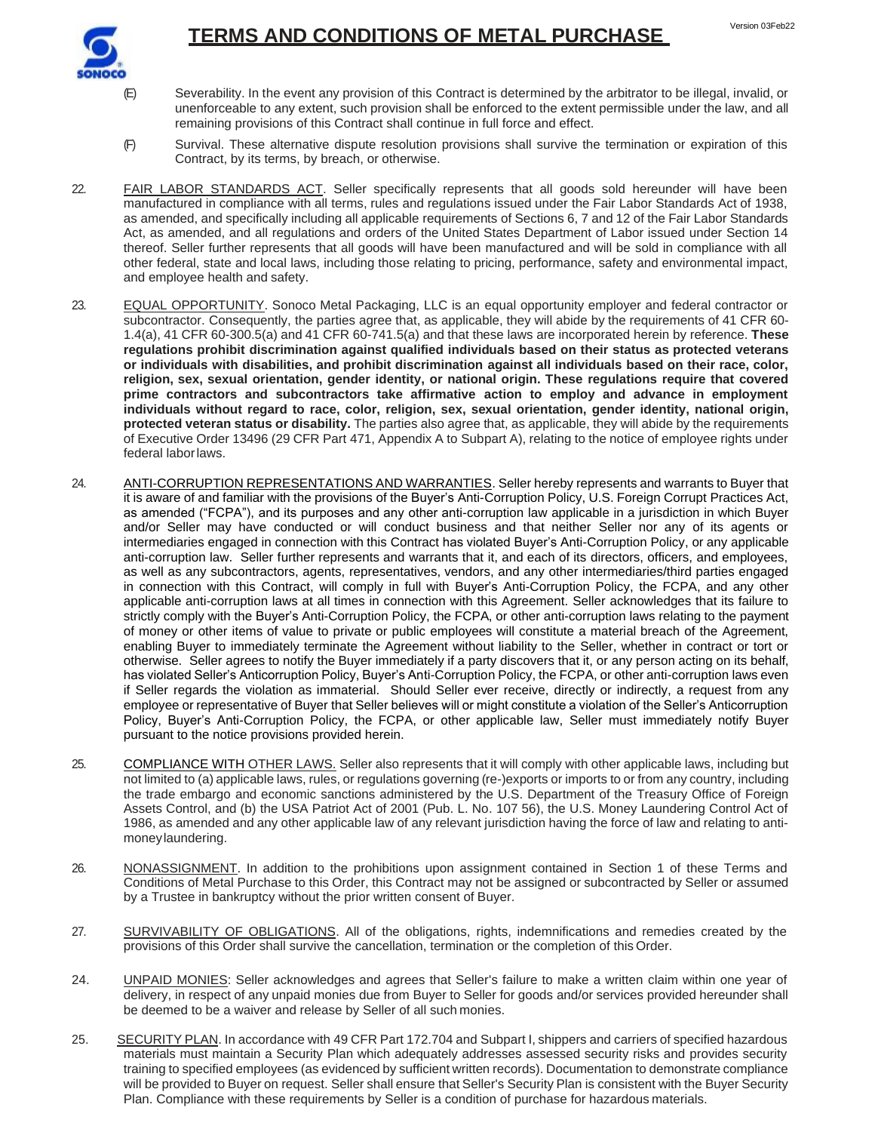

- (E) Severability. In the event any provision of this Contract is determined by the arbitrator to be illegal, invalid, or unenforceable to any extent, such provision shall be enforced to the extent permissible under the law, and all remaining provisions of this Contract shall continue in full force and effect.
- (F) Survival. These alternative dispute resolution provisions shall survive the termination or expiration of this Contract, by its terms, by breach, or otherwise.
- 22. FAIR LABOR STANDARDS ACT. Seller specifically represents that all goods sold hereunder will have been manufactured in compliance with all terms, rules and regulations issued under the Fair Labor Standards Act of 1938, as amended, and specifically including all applicable requirements of Sections 6, 7 and 12 of the Fair Labor Standards Act, as amended, and all regulations and orders of the United States Department of Labor issued under Section 14 thereof. Seller further represents that all goods will have been manufactured and will be sold in compliance with all other federal, state and local laws, including those relating to pricing, performance, safety and environmental impact, and employee health and safety.
- 23. EQUAL OPPORTUNITY. Sonoco Metal Packaging, LLC is an equal opportunity employer and federal contractor or subcontractor. Consequently, the parties agree that, as applicable, they will abide by the requirements of 41 CFR 60- 1.4(a), 41 CFR 60-300.5(a) and 41 CFR 60-741.5(a) and that these laws are incorporated herein by reference. **These regulations prohibit discrimination against qualified individuals based on their status as protected veterans or individuals with disabilities, and prohibit discrimination against all individuals based on their race, color, religion, sex, sexual orientation, gender identity, or national origin. These regulations require that covered prime contractors and subcontractors take affirmative action to employ and advance in employment individuals without regard to race, color, religion, sex, sexual orientation, gender identity, national origin, protected veteran status or disability.** The parties also agree that, as applicable, they will abide by the requirements of Executive Order 13496 (29 CFR Part 471, Appendix A to Subpart A), relating to the notice of employee rights under federal laborlaws.
- 24. ANTI-CORRUPTION REPRESENTATIONS AND WARRANTIES. Seller hereby represents and warrants to Buyer that it is aware of and familiar with the provisions of the Buyer's Anti-Corruption Policy, U.S. Foreign Corrupt Practices Act, as amended ("FCPA"), and its purposes and any other anti-corruption law applicable in a jurisdiction in which Buyer and/or Seller may have conducted or will conduct business and that neither Seller nor any of its agents or intermediaries engaged in connection with this Contract has violated Buyer's Anti-Corruption Policy, or any applicable anti-corruption law. Seller further represents and warrants that it, and each of its directors, officers, and employees, as well as any subcontractors, agents, representatives, vendors, and any other intermediaries/third parties engaged in connection with this Contract, will comply in full with Buyer's Anti-Corruption Policy, the FCPA, and any other applicable anti-corruption laws at all times in connection with this Agreement. Seller acknowledges that its failure to strictly comply with the Buyer's Anti-Corruption Policy, the FCPA, or other anti-corruption laws relating to the payment of money or other items of value to private or public employees will constitute a material breach of the Agreement, enabling Buyer to immediately terminate the Agreement without liability to the Seller, whether in contract or tort or otherwise. Seller agrees to notify the Buyer immediately if a party discovers that it, or any person acting on its behalf, has violated Seller's Anticorruption Policy, Buyer's Anti-Corruption Policy, the FCPA, or other anti-corruption laws even if Seller regards the violation as immaterial. Should Seller ever receive, directly or indirectly, a request from any employee or representative of Buyer that Seller believes will or might constitute a violation of the Seller's Anticorruption Policy, Buyer's Anti-Corruption Policy, the FCPA, or other applicable law, Seller must immediately notify Buyer pursuant to the notice provisions provided herein.
- 25. COMPLIANCE WITH OTHER LAWS. Seller also represents that it will comply with other applicable laws, including but not limited to (a) applicable laws, rules, or regulations governing (re-)exports or imports to or from any country, including the trade embargo and economic sanctions administered by the U.S. Department of the Treasury Office of Foreign Assets Control, and (b) the USA Patriot Act of 2001 (Pub. L. No. 107 56), the U.S. Money Laundering Control Act of 1986, as amended and any other applicable law of any relevant jurisdiction having the force of law and relating to antimoneylaundering.
- 26. NONASSIGNMENT. In addition to the prohibitions upon assignment contained in Section 1 of these Terms and Conditions of Metal Purchase to this Order, this Contract may not be assigned or subcontracted by Seller or assumed by a Trustee in bankruptcy without the prior written consent of Buyer.
- 27. SURVIVABILITY OF OBLIGATIONS. All of the obligations, rights, indemnifications and remedies created by the provisions of this Order shall survive the cancellation, termination or the completion of this Order.
- 24. UNPAID MONIES: Seller acknowledges and agrees that Seller's failure to make a written claim within one year of delivery, in respect of any unpaid monies due from Buyer to Seller for goods and/or services provided hereunder shall be deemed to be a waiver and release by Seller of all such monies.
- 25. SECURITY PLAN. In accordance with 49 CFR Part 172.704 and Subpart I, shippers and carriers of specified hazardous materials must maintain a Security Plan which adequately addresses assessed security risks and provides security training to specified employees (as evidenced by sufficient written records). Documentation to demonstrate compliance will be provided to Buyer on request. Seller shall ensure that Seller's Security Plan is consistent with the Buyer Security Plan. Compliance with these requirements by Seller is a condition of purchase for hazardous materials.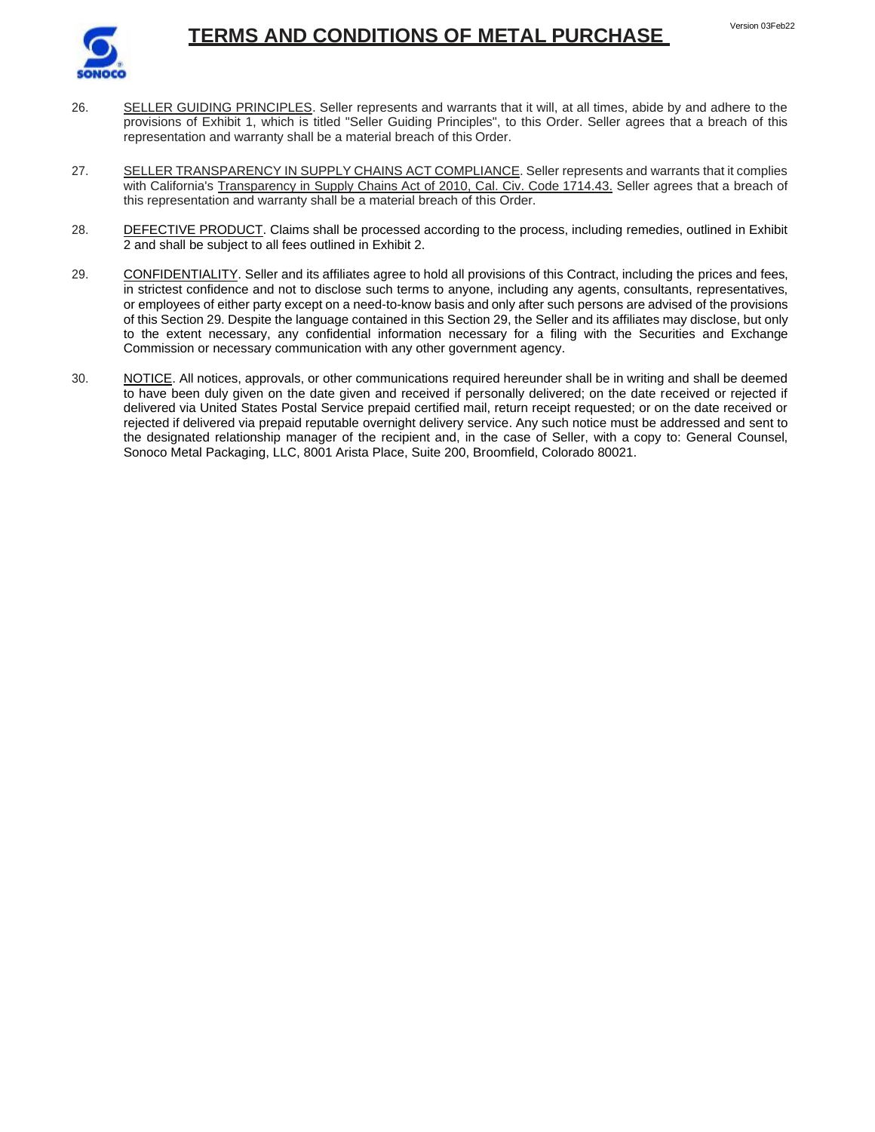

- Version 03Feb22
- 26. SELLER GUIDING PRINCIPLES. Seller represents and warrants that it will, at all times, abide by and adhere to the provisions of Exhibit 1, which is titled "Seller Guiding Principles", to this Order. Seller agrees that a breach of this representation and warranty shall be a material breach of this Order.
- 27. SELLER TRANSPARENCY IN SUPPLY CHAINS ACT COMPLIANCE. Seller represents and warrants that it complies with California's Transparency in Supply Chains Act of 2010, Cal. Civ. Code 1714.43. Seller agrees that a breach of this representation and warranty shall be a material breach of this Order.
- 28. DEFECTIVE PRODUCT. Claims shall be processed according to the process, including remedies, outlined in Exhibit 2 and shall be subject to all fees outlined in Exhibit 2.
- 29. CONFIDENTIALITY. Seller and its affiliates agree to hold all provisions of this Contract, including the prices and fees, in strictest confidence and not to disclose such terms to anyone, including any agents, consultants, representatives, or employees of either party except on a need-to-know basis and only after such persons are advised of the provisions of this Section 29. Despite the language contained in this Section 29, the Seller and its affiliates may disclose, but only to the extent necessary, any confidential information necessary for a filing with the Securities and Exchange Commission or necessary communication with any other government agency.
- 30. NOTICE. All notices, approvals, or other communications required hereunder shall be in writing and shall be deemed to have been duly given on the date given and received if personally delivered; on the date received or rejected if delivered via United States Postal Service prepaid certified mail, return receipt requested; or on the date received or rejected if delivered via prepaid reputable overnight delivery service. Any such notice must be addressed and sent to the designated relationship manager of the recipient and, in the case of Seller, with a copy to: General Counsel, Sonoco Metal Packaging, LLC, 8001 Arista Place, Suite 200, Broomfield, Colorado 80021.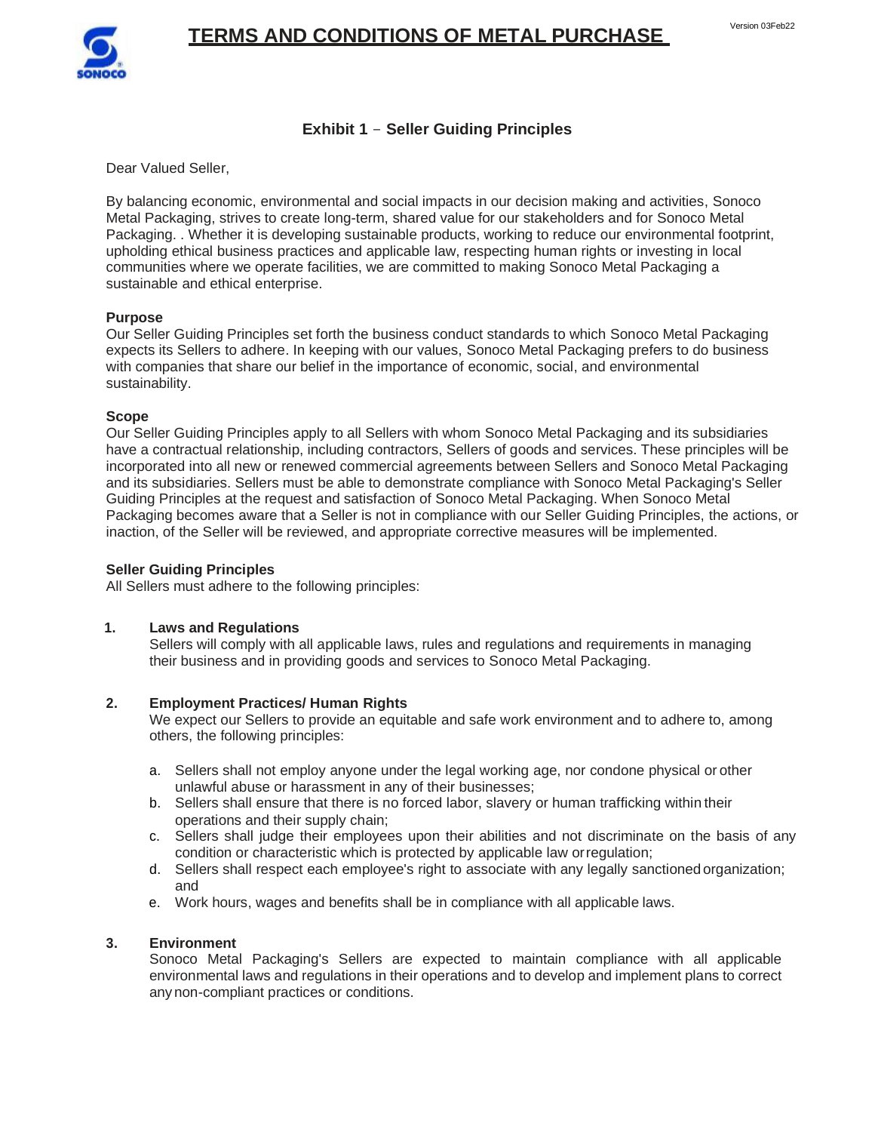

## **Exhibit 1** - **Seller Guiding Principles**

Dear Valued Seller,

By balancing economic, environmental and social impacts in our decision making and activities, Sonoco Metal Packaging, strives to create long-term, shared value for our stakeholders and for Sonoco Metal Packaging. . Whether it is developing sustainable products, working to reduce our environmental footprint, upholding ethical business practices and applicable law, respecting human rights or investing in local communities where we operate facilities, we are committed to making Sonoco Metal Packaging a sustainable and ethical enterprise.

### **Purpose**

Our Seller Guiding Principles set forth the business conduct standards to which Sonoco Metal Packaging expects its Sellers to adhere. In keeping with our values, Sonoco Metal Packaging prefers to do business with companies that share our belief in the importance of economic, social, and environmental sustainability.

### **Scope**

Our Seller Guiding Principles apply to all Sellers with whom Sonoco Metal Packaging and its subsidiaries have a contractual relationship, including contractors, Sellers of goods and services. These principles will be incorporated into all new or renewed commercial agreements between Sellers and Sonoco Metal Packaging and its subsidiaries. Sellers must be able to demonstrate compliance with Sonoco Metal Packaging's Seller Guiding Principles at the request and satisfaction of Sonoco Metal Packaging. When Sonoco Metal Packaging becomes aware that a Seller is not in compliance with our Seller Guiding Principles, the actions, or inaction, of the Seller will be reviewed, and appropriate corrective measures will be implemented.

#### **Seller Guiding Principles**

All Sellers must adhere to the following principles:

### **1. Laws and Regulations**

Sellers will comply with all applicable laws, rules and regulations and requirements in managing their business and in providing goods and services to Sonoco Metal Packaging.

### **2. Employment Practices/ Human Rights**

We expect our Sellers to provide an equitable and safe work environment and to adhere to, among others, the following principles:

- a. Sellers shall not employ anyone under the legal working age, nor condone physical orother unlawful abuse or harassment in any of their businesses;
- b. Sellers shall ensure that there is no forced labor, slavery or human trafficking withintheir operations and their supply chain;
- c. Sellers shall judge their employees upon their abilities and not discriminate on the basis of any condition or characteristic which is protected by applicable law orregulation;
- d. Sellers shall respect each employee's right to associate with any legally sanctionedorganization; and
- e. Work hours, wages and benefits shall be in compliance with all applicable laws.

### **3. Environment**

Sonoco Metal Packaging's Sellers are expected to maintain compliance with all applicable environmental laws and regulations in their operations and to develop and implement plans to correct anynon-compliant practices or conditions.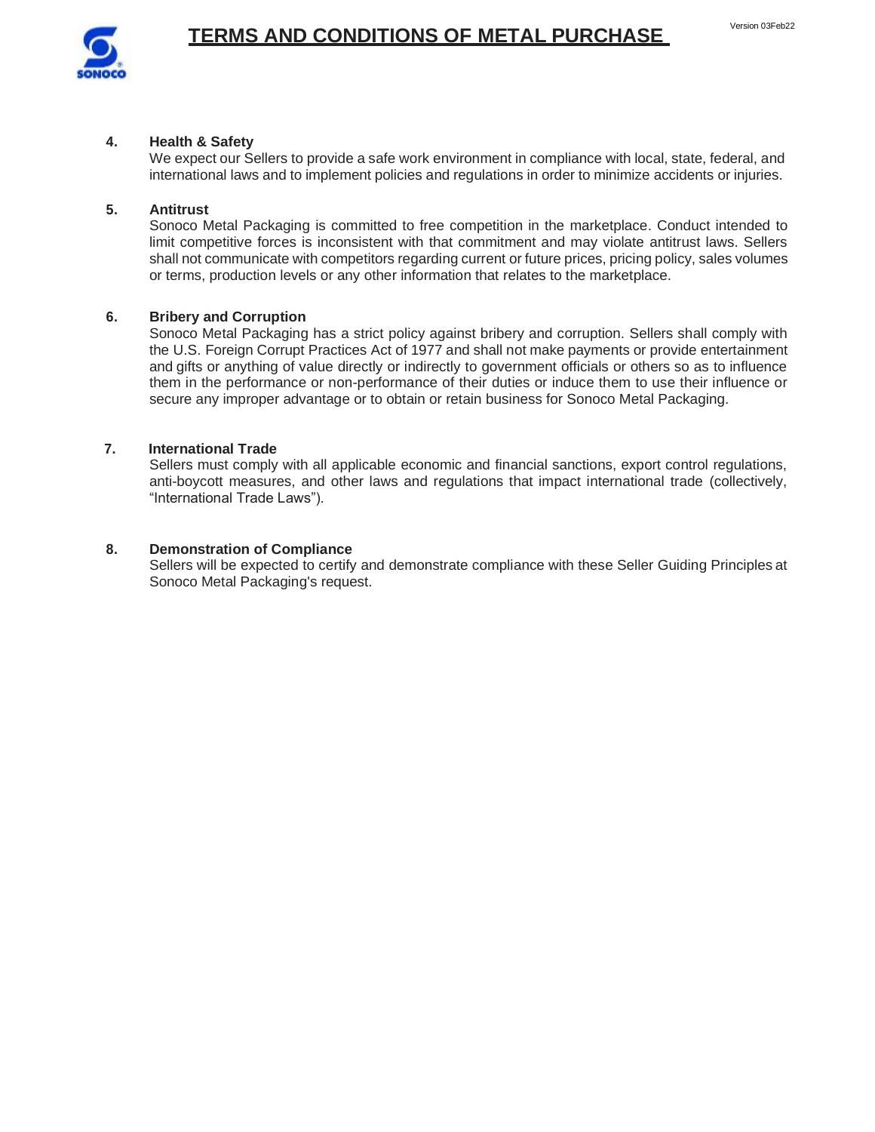

## **4. Health & Safety**

We expect our Sellers to provide a safe work environment in compliance with local, state, federal, and international laws and to implement policies and regulations in order to minimize accidents or injuries.

## **5. Antitrust**

Sonoco Metal Packaging is committed to free competition in the marketplace. Conduct intended to limit competitive forces is inconsistent with that commitment and may violate antitrust laws. Sellers shall not communicate with competitors regarding current or future prices, pricing policy, sales volumes or terms, production levels or any other information that relates to the marketplace.

## **6. Bribery and Corruption**

Sonoco Metal Packaging has a strict policy against bribery and corruption. Sellers shall comply with the U.S. Foreign Corrupt Practices Act of 1977 and shall not make payments or provide entertainment and gifts or anything of value directly or indirectly to government officials or others so as to influence them in the performance or non-performance of their duties or induce them to use their influence or secure any improper advantage or to obtain or retain business for Sonoco Metal Packaging.

## **7. International Trade**

Sellers must comply with all applicable economic and financial sanctions, export control regulations, anti-boycott measures, and other laws and regulations that impact international trade (collectively, "International Trade Laws").

## **8. Demonstration of Compliance**

Sellers will be expected to certify and demonstrate compliance with these Seller Guiding Principles at Sonoco Metal Packaging's request.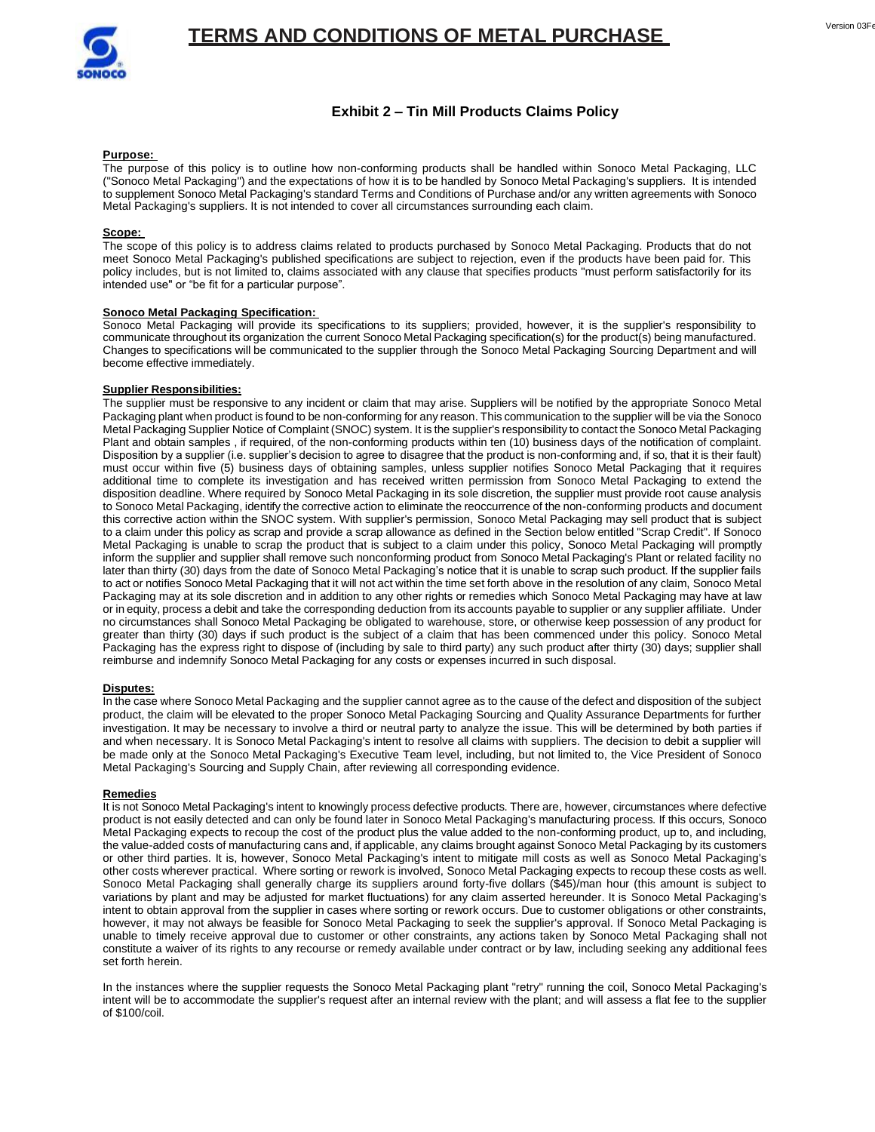

## **Exhibit 2 – Tin Mill Products Claims Policy**

#### **Purpose:**

The purpose of this policy is to outline how non-conforming products shall be handled within Sonoco Metal Packaging, LLC ("Sonoco Metal Packaging") and the expectations of how it is to be handled by Sonoco Metal Packaging's suppliers. It is intended to supplement Sonoco Metal Packaging's standard Terms and Conditions of Purchase and/or any written agreements with Sonoco Metal Packaging's suppliers. It is not intended to cover all circumstances surrounding each claim.

#### **Scope:**

The scope of this policy is to address claims related to products purchased by Sonoco Metal Packaging. Products that do not meet Sonoco Metal Packaging's published specifications are subject to rejection, even if the products have been paid for. This policy includes, but is not limited to, claims associated with any clause that specifies products "must perform satisfactorily for its intended use" or "be fit for a particular purpose".

#### **Sonoco Metal Packaging Specification:**

Sonoco Metal Packaging will provide its specifications to its suppliers; provided, however, it is the supplier's responsibility to communicate throughout its organization the current Sonoco Metal Packaging specification(s) for the product(s) being manufactured. Changes to specifications will be communicated to the supplier through the Sonoco Metal Packaging Sourcing Department and will become effective immediately.

#### **Supplier Responsibilities:**

The supplier must be responsive to any incident or claim that may arise. Suppliers will be notified by the appropriate Sonoco Metal Packaging plant when product is found to be non-conforming for any reason. This communication to the supplier will be via the Sonoco Metal Packaging Supplier Notice of Complaint (SNOC) system. It is the supplier's responsibility to contact the Sonoco Metal Packaging Plant and obtain samples , if required, of the non-conforming products within ten (10) business days of the notification of complaint. Disposition by a supplier (i.e. supplier's decision to agree to disagree that the product is non-conforming and, if so, that it is their fault) must occur within five (5) business days of obtaining samples, unless supplier notifies Sonoco Metal Packaging that it requires additional time to complete its investigation and has received written permission from Sonoco Metal Packaging to extend the disposition deadline. Where required by Sonoco Metal Packaging in its sole discretion, the supplier must provide root cause analysis to Sonoco Metal Packaging, identify the corrective action to eliminate the reoccurrence of the non-conforming products and document this corrective action within the SNOC system. With supplier's permission, Sonoco Metal Packaging may sell product that is subject to a claim under this policy as scrap and provide a scrap allowance as defined in the Section below entitled "Scrap Credit". If Sonoco Metal Packaging is unable to scrap the product that is subject to a claim under this policy, Sonoco Metal Packaging will promptly inform the supplier and supplier shall remove such nonconforming product from Sonoco Metal Packaging's Plant or related facility no later than thirty (30) days from the date of Sonoco Metal Packaging's notice that it is unable to scrap such product. If the supplier fails to act or notifies Sonoco Metal Packaging that it will not act within the time set forth above in the resolution of any claim, Sonoco Metal Packaging may at its sole discretion and in addition to any other rights or remedies which Sonoco Metal Packaging may have at law or in equity, process a debit and take the corresponding deduction from its accounts payable to supplier or any supplier affiliate. Under no circumstances shall Sonoco Metal Packaging be obligated to warehouse, store, or otherwise keep possession of any product for greater than thirty (30) days if such product is the subject of a claim that has been commenced under this policy. Sonoco Metal Packaging has the express right to dispose of (including by sale to third party) any such product after thirty (30) days; supplier shall reimburse and indemnify Sonoco Metal Packaging for any costs or expenses incurred in such disposal.

#### **Disputes:**

In the case where Sonoco Metal Packaging and the supplier cannot agree as to the cause of the defect and disposition of the subject product, the claim will be elevated to the proper Sonoco Metal Packaging Sourcing and Quality Assurance Departments for further investigation. It may be necessary to involve a third or neutral party to analyze the issue. This will be determined by both parties if and when necessary. It is Sonoco Metal Packaging's intent to resolve all claims with suppliers. The decision to debit a supplier will be made only at the Sonoco Metal Packaging's Executive Team level, including, but not limited to, the Vice President of Sonoco Metal Packaging's Sourcing and Supply Chain, after reviewing all corresponding evidence.

#### **Remedies**

It is not Sonoco Metal Packaging's intent to knowingly process defective products. There are, however, circumstances where defective product is not easily detected and can only be found later in Sonoco Metal Packaging's manufacturing process. If this occurs, Sonoco Metal Packaging expects to recoup the cost of the product plus the value added to the non-conforming product, up to, and including, the value-added costs of manufacturing cans and, if applicable, any claims brought against Sonoco Metal Packaging by its customers or other third parties. It is, however, Sonoco Metal Packaging's intent to mitigate mill costs as well as Sonoco Metal Packaging's other costs wherever practical. Where sorting or rework is involved, Sonoco Metal Packaging expects to recoup these costs as well. Sonoco Metal Packaging shall generally charge its suppliers around forty-five dollars (\$45)/man hour (this amount is subject to variations by plant and may be adjusted for market fluctuations) for any claim asserted hereunder. It is Sonoco Metal Packaging's intent to obtain approval from the supplier in cases where sorting or rework occurs. Due to customer obligations or other constraints, however, it may not always be feasible for Sonoco Metal Packaging to seek the supplier's approval. If Sonoco Metal Packaging is unable to timely receive approval due to customer or other constraints, any actions taken by Sonoco Metal Packaging shall not constitute a waiver of its rights to any recourse or remedy available under contract or by law, including seeking any additional fees set forth herein.

In the instances where the supplier requests the Sonoco Metal Packaging plant "retry" running the coil, Sonoco Metal Packaging's intent will be to accommodate the supplier's request after an internal review with the plant; and will assess a flat fee to the supplier of \$100/coil.